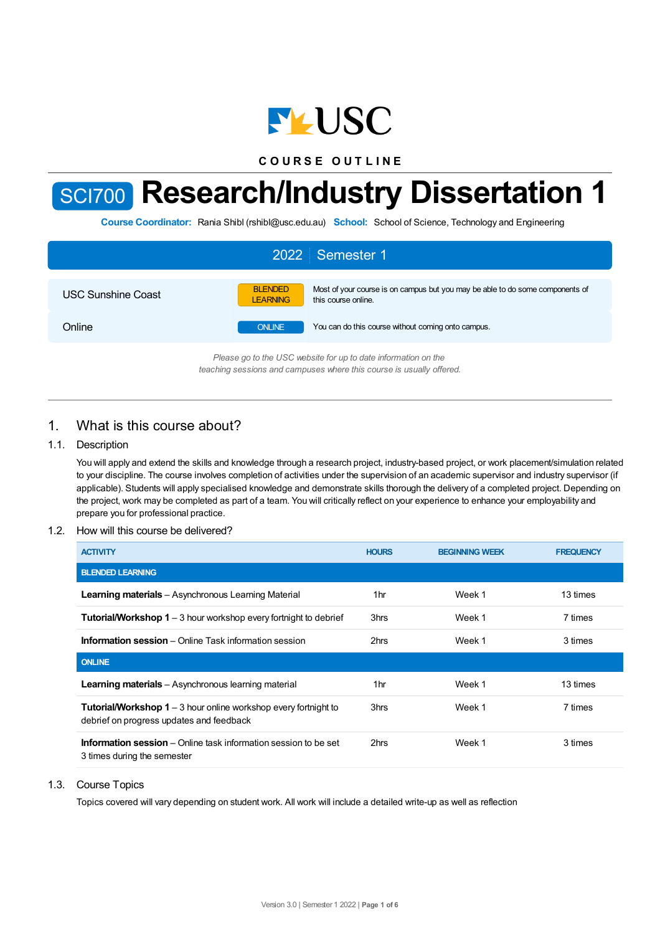

**C O U R S E O U T L I N E**

# SCI700 **Research/Industry Dissertation 1**

**Course Coordinator:** Rania Shibl (rshibl@usc.edu.au) **School:** School of Science, Technology and Engineering

| 2022 Semester 1                                                |                                   |                                                                                                      |  |  |
|----------------------------------------------------------------|-----------------------------------|------------------------------------------------------------------------------------------------------|--|--|
| <b>USC Sunshine Coast</b>                                      | <b>BLENDED</b><br><b>LEARNING</b> | Most of your course is on campus but you may be able to do some components of<br>this course online. |  |  |
| Online                                                         | <b>ONLINE</b>                     | You can do this course without coming onto campus.                                                   |  |  |
| Please go to the USC unheits for up to date information on the |                                   |                                                                                                      |  |  |

*Please go to the USC website for up to date information on the teaching sessions and campuses where this course is usually offered.*

## 1. What is this course about?

## 1.1. Description

You will apply and extend the skills and knowledge through a research project, industry-based project, or work placement/simulation related to your discipline. The course involves completion of activities under the supervision of an academic supervisor and industry supervisor (if applicable). Students will apply specialised knowledge and demonstrate skills thorough the delivery of a completed project. Depending on the project, work may be completed as part of a team. You will critically reflect on your experience to enhance your employability and prepare you for professional practice.

## 1.2. How will this course be delivered?

| <b>ACTIVITY</b>                                                                                                    | <b>HOURS</b>    | <b>BEGINNING WEEK</b> | <b>FREQUENCY</b> |
|--------------------------------------------------------------------------------------------------------------------|-----------------|-----------------------|------------------|
| <b>BLENDED LEARNING</b>                                                                                            |                 |                       |                  |
| <b>Learning materials</b> – Asynchronous Learning Material                                                         | 1 <sub>hr</sub> | Week 1                | 13 times         |
| <b>Tutorial/Workshop 1</b> – 3 hour workshop every fortnight to debrief                                            | 3hrs            | Week 1                | 7 times          |
| <b>Information session</b> – Online Task information session                                                       | 2hrs            | Week 1                | 3 times          |
| <b>ONLINE</b>                                                                                                      |                 |                       |                  |
| Learning materials - Asynchronous learning material                                                                | 1hr             | Week 1                | 13 times         |
| <b>Tutorial/Workshop 1</b> – 3 hour online workshop every fortnight to<br>debrief on progress updates and feedback | 3hrs            | Week 1                | 7 times          |
| <b>Information session</b> – Online task information session to be set<br>3 times during the semester              | 2hrs            | Week 1                | 3 times          |

#### 1.3. Course Topics

Topics covered will vary depending on student work. All work will include a detailed write-up as well as reflection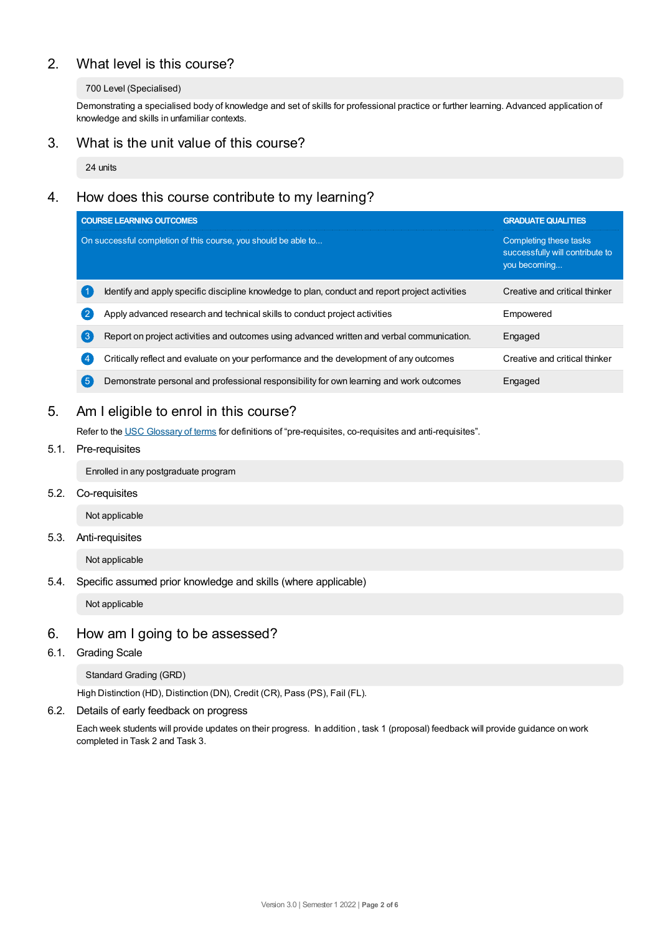# 2. What level is this course?

## 700 Level (Specialised)

Demonstrating a specialised body of knowledge and set of skills for professional practice or further learning. Advanced application of knowledge and skills in unfamiliar contexts.

## 3. What is the unit value of this course?

24 units

# 4. How does this course contribute to my learning?

|                    | <b>COURSE LEARNING OUTCOMES</b>                                                                 | <b>GRADUATE QUALITIES</b>                                                 |
|--------------------|-------------------------------------------------------------------------------------------------|---------------------------------------------------------------------------|
|                    | On successful completion of this course, you should be able to                                  | Completing these tasks<br>successfully will contribute to<br>you becoming |
|                    | Identify and apply specific discipline knowledge to plan, conduct and report project activities | Creative and critical thinker                                             |
| $\left( 2 \right)$ | Apply advanced research and technical skills to conduct project activities                      | Empowered                                                                 |
| $\sqrt{3}$         | Report on project activities and outcomes using advanced written and verbal communication.      | Engaged                                                                   |
| $\overline{4}$     | Critically reflect and evaluate on your performance and the development of any outcomes         | Creative and critical thinker                                             |
| 【5                 | Demonstrate personal and professional responsibility for own learning and work outcomes         | Engaged                                                                   |

# 5. Am Ieligible to enrol in this course?

Refer to the USC [Glossary](https://www.usc.edu.au/about/policies-and-procedures/glossary-of-terms-for-policy-and-procedures) of terms for definitions of "pre-requisites, co-requisites and anti-requisites".

## 5.1. Pre-requisites

Enrolled in any postgraduate program

5.2. Co-requisites

Not applicable

## 5.3. Anti-requisites

Not applicable

5.4. Specific assumed prior knowledge and skills (where applicable)

Not applicable

## 6. How am Igoing to be assessed?

6.1. Grading Scale

Standard Grading (GRD)

High Distinction (HD), Distinction (DN), Credit (CR), Pass (PS), Fail (FL).

6.2. Details of early feedback on progress

Each week students will provide updates on their progress. In addition , task 1 (proposal) feedback will provide guidance on work completed in Task 2 and Task 3.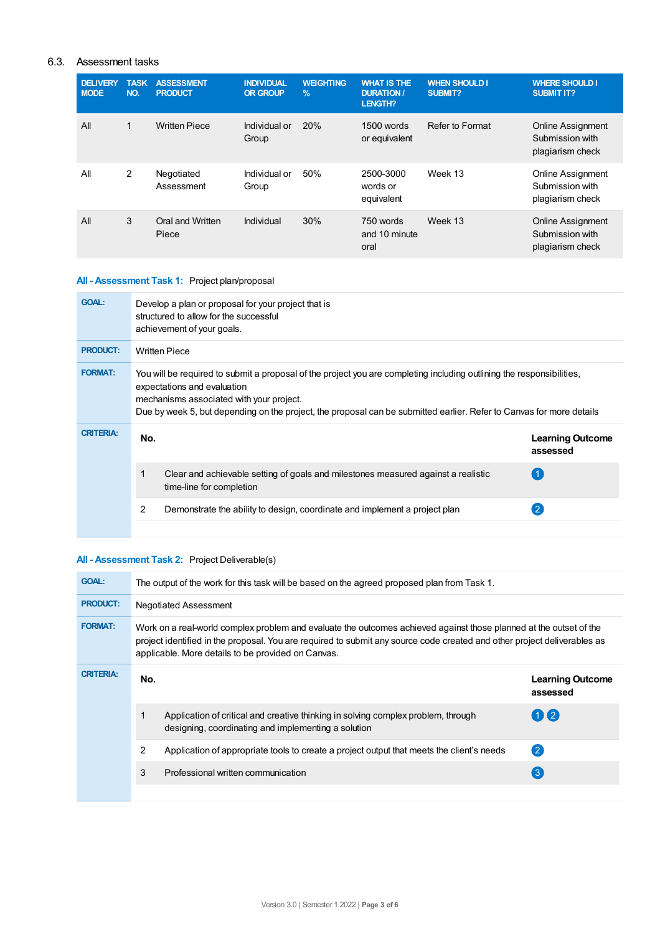## 6.3. Assessment tasks

| <b>DELIVERY</b><br><b>MODE</b> | <b>TASK</b><br>NO. | <b>ASSESSMENT</b><br><b>PRODUCT</b> | <b>INDIVIDUAL</b><br><b>OR GROUP</b> | <b>WEIGHTING</b><br>$\frac{9}{6}$ | <b>WHAT IS THE</b><br><b>DURATION /</b><br>LENGTH? | <b>WHEN SHOULD I</b><br>SUBMIT? | <b>WHERE SHOULD I</b><br><b>SUBMIT IT?</b>                      |
|--------------------------------|--------------------|-------------------------------------|--------------------------------------|-----------------------------------|----------------------------------------------------|---------------------------------|-----------------------------------------------------------------|
| All                            | $\mathbf{1}$       | <b>Written Piece</b>                | Individual or<br>Group               | 20%                               | 1500 words<br>or equivalent                        | Refer to Format                 | <b>Online Assignment</b><br>Submission with<br>plagiarism check |
| All                            | 2                  | Negotiated<br>Assessment            | Individual or<br>Group               | 50%                               | 2500-3000<br>words or<br>equivalent                | Week 13                         | <b>Online Assignment</b><br>Submission with<br>plagiarism check |
| All                            | 3                  | Oral and Written<br>Piece           | Individual                           | 30%                               | 750 words<br>and 10 minute<br>oral                 | Week 13                         | <b>Online Assignment</b><br>Submission with<br>plagiarism check |

## **All - Assessment Task 1:** Project plan/proposal

| <b>GOAL:</b>     | Develop a plan or proposal for your project that is<br>structured to allow for the successful<br>achievement of your goals.                                                                                                                                                                                              |                                     |  |  |  |
|------------------|--------------------------------------------------------------------------------------------------------------------------------------------------------------------------------------------------------------------------------------------------------------------------------------------------------------------------|-------------------------------------|--|--|--|
| <b>PRODUCT:</b>  | <b>Written Piece</b>                                                                                                                                                                                                                                                                                                     |                                     |  |  |  |
| <b>FORMAT:</b>   | You will be required to submit a proposal of the project you are completing including outlining the responsibilities,<br>expectations and evaluation<br>mechanisms associated with your project.<br>Due by week 5, but depending on the project, the proposal can be submitted earlier. Refer to Canvas for more details |                                     |  |  |  |
| <b>CRITERIA:</b> | No.                                                                                                                                                                                                                                                                                                                      | <b>Learning Outcome</b><br>assessed |  |  |  |
|                  | 1<br>Clear and achievable setting of goals and milestones measured against a realistic<br>time-line for completion                                                                                                                                                                                                       |                                     |  |  |  |
|                  | 2<br>Demonstrate the ability to design, coordinate and implement a project plan                                                                                                                                                                                                                                          |                                     |  |  |  |

## **All - Assessment Task 2:** Project Deliverable(s)

| <b>GOAL:</b>     | The output of the work for this task will be based on the agreed proposed plan from Task 1.                                                                                                                                                                                                          |                                                                                                                                          |                  |  |  |
|------------------|------------------------------------------------------------------------------------------------------------------------------------------------------------------------------------------------------------------------------------------------------------------------------------------------------|------------------------------------------------------------------------------------------------------------------------------------------|------------------|--|--|
| <b>PRODUCT:</b>  | <b>Negotiated Assessment</b>                                                                                                                                                                                                                                                                         |                                                                                                                                          |                  |  |  |
| <b>FORMAT:</b>   | Work on a real-world complex problem and evaluate the outcomes achieved against those planned at the outset of the<br>project identified in the proposal. You are required to submit any source code created and other project deliverables as<br>applicable. More details to be provided on Canvas. |                                                                                                                                          |                  |  |  |
| <b>CRITERIA:</b> | No.                                                                                                                                                                                                                                                                                                  | <b>Learning Outcome</b><br>assessed                                                                                                      |                  |  |  |
|                  |                                                                                                                                                                                                                                                                                                      | Application of critical and creative thinking in solving complex problem, through<br>designing, coordinating and implementing a solution | $(1)$ (2)        |  |  |
|                  | 2                                                                                                                                                                                                                                                                                                    | Application of appropriate tools to create a project output that meets the client's needs                                                | $\mathbf{C}$     |  |  |
|                  | 3                                                                                                                                                                                                                                                                                                    | Professional written communication                                                                                                       | $\left(3\right)$ |  |  |
|                  |                                                                                                                                                                                                                                                                                                      |                                                                                                                                          |                  |  |  |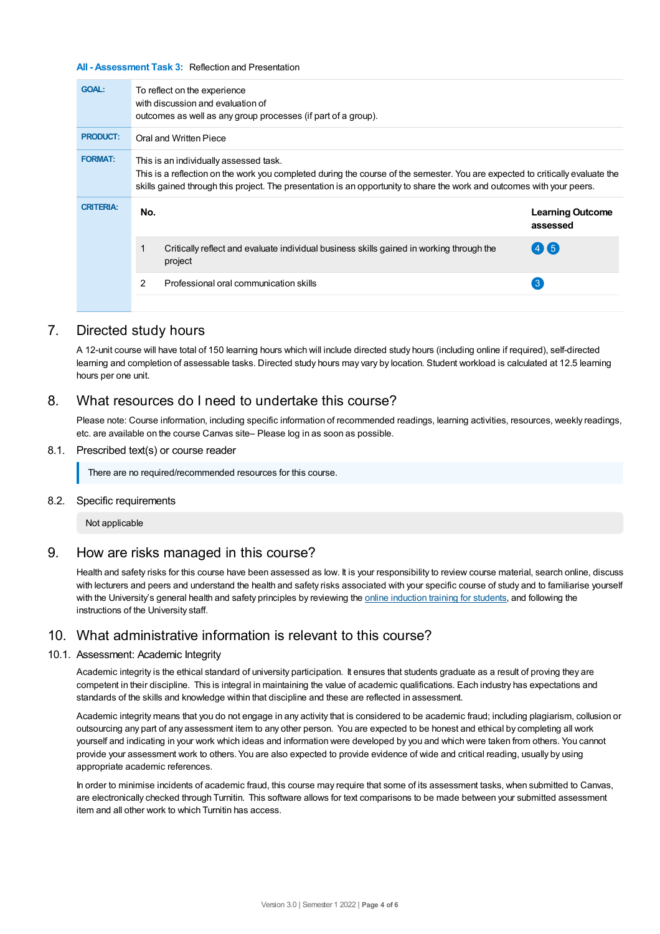#### **All - Assessment Task 3:** Reflection and Presentation

| <b>GOAL:</b>     |                                                                                                                                                                                                                                                                                                   | To reflect on the experience<br>with discussion and evaluation of<br>outcomes as well as any group processes (if part of a group). |                                     |  |
|------------------|---------------------------------------------------------------------------------------------------------------------------------------------------------------------------------------------------------------------------------------------------------------------------------------------------|------------------------------------------------------------------------------------------------------------------------------------|-------------------------------------|--|
| <b>PRODUCT:</b>  |                                                                                                                                                                                                                                                                                                   | Oral and Written Piece                                                                                                             |                                     |  |
| <b>FORMAT:</b>   | This is an individually assessed task.<br>This is a reflection on the work you completed during the course of the semester. You are expected to critically evaluate the<br>skills gained through this project. The presentation is an opportunity to share the work and outcomes with your peers. |                                                                                                                                    |                                     |  |
| <b>CRITERIA:</b> | No.                                                                                                                                                                                                                                                                                               |                                                                                                                                    | <b>Learning Outcome</b><br>assessed |  |
|                  |                                                                                                                                                                                                                                                                                                   | Critically reflect and evaluate individual business skills gained in working through the<br>project                                | $4$ K 5                             |  |
|                  | 2                                                                                                                                                                                                                                                                                                 | Professional oral communication skills                                                                                             | 3                                   |  |

## 7. Directed study hours

A 12-unit course will have total of 150 learning hours which will include directed study hours (including online if required), self-directed learning and completion of assessable tasks. Directed study hours may vary by location. Student workload is calculated at 12.5 learning hours per one unit.

## 8. What resources do I need to undertake this course?

Please note: Course information, including specific information of recommended readings, learning activities, resources, weekly readings, etc. are available on the course Canvas site– Please log in as soon as possible.

#### 8.1. Prescribed text(s) or course reader

There are no required/recommended resources for this course.

#### 8.2. Specific requirements

Not applicable

## 9. How are risks managed in this course?

Health and safety risks for this course have been assessed as low. It is your responsibility to review course material, search online, discuss with lecturers and peers and understand the health and safety risks associated with your specific course of study and to familiarise yourself with the University's general health and safety principles by reviewing the online [induction](https://online.usc.edu.au/webapps/blackboard/content/listContentEditable.jsp?content_id=_632657_1&course_id=_14432_1) training for students, and following the instructions of the University staff.

## 10. What administrative information is relevant to this course?

#### 10.1. Assessment: Academic Integrity

Academic integrity is the ethical standard of university participation. It ensures that students graduate as a result of proving they are competent in their discipline. This is integral in maintaining the value of academic qualifications. Each industry has expectations and standards of the skills and knowledge within that discipline and these are reflected in assessment.

Academic integrity means that you do not engage in any activity that is considered to be academic fraud; including plagiarism, collusion or outsourcing any part of any assessment item to any other person. You are expected to be honest and ethical by completing all work yourself and indicating in your work which ideas and information were developed by you and which were taken from others. You cannot provide your assessment work to others.You are also expected to provide evidence of wide and critical reading, usually by using appropriate academic references.

In order to minimise incidents of academic fraud, this course may require that some of its assessment tasks, when submitted to Canvas, are electronically checked through Turnitin. This software allows for text comparisons to be made between your submitted assessment item and all other work to which Turnitin has access.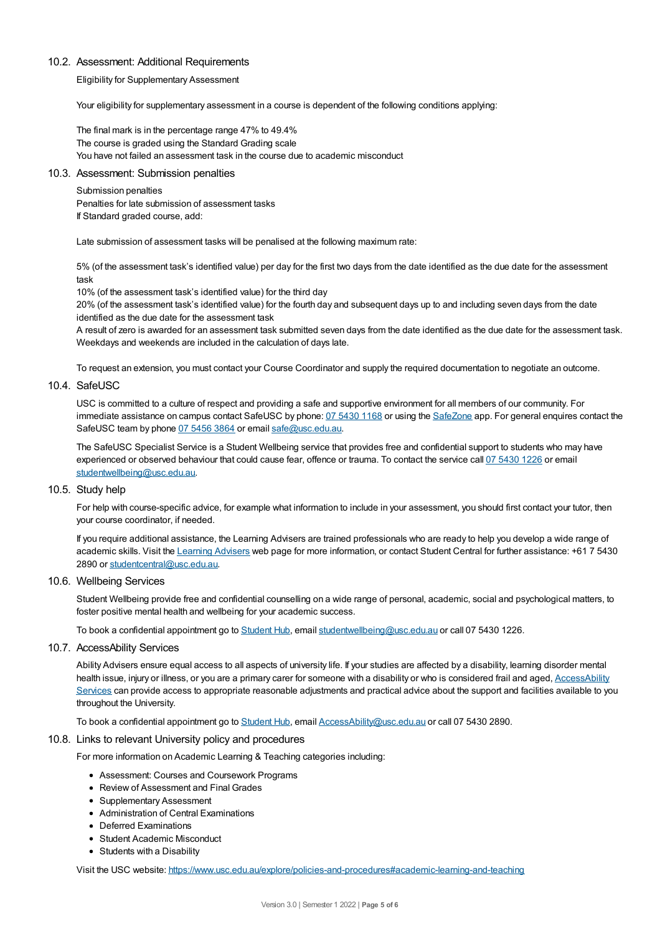#### 10.2. Assessment: Additional Requirements

Eligibility for Supplementary Assessment

Your eligibility for supplementary assessment in a course is dependent of the following conditions applying:

The final mark is in the percentage range 47% to 49.4% The course is graded using the Standard Grading scale You have not failed an assessment task in the course due to academic misconduct

#### 10.3. Assessment: Submission penalties

#### Submission penalties

Penalties for late submission of assessment tasks If Standard graded course, add:

Late submission of assessment tasks will be penalised at the following maximum rate:

5% (of the assessment task's identified value) per day for the first two days from the date identified as the due date for the assessment task

10% (of the assessment task's identified value) for the third day

20% (of the assessment task's identified value) for the fourth day and subsequent days up to and including seven days from the date identified as the due date for the assessment task

A result of zero is awarded for an assessment task submitted seven days from the date identified as the due date for the assessment task. Weekdays and weekends are included in the calculation of days late.

To request an extension, you must contact your Course Coordinator and supply the required documentation to negotiate an outcome.

#### 10.4. SafeUSC

USC is committed to a culture of respect and providing a safe and supportive environment for all members of our community. For immediate assistance on campus contact SafeUSC by phone: 07 [5430](tel:07%205430%201168) 1168 or using the [SafeZone](https://www.safezoneapp.com) app. For general enquires contact the SafeUSC team by phone 07 [5456](tel:07%205456%203864) 3864 or email [safe@usc.edu.au](mailto:safe@usc.edu.au).

The SafeUSC Specialist Service is a Student Wellbeing service that provides free and confidential support to students who may have experienced or observed behaviour that could cause fear, offence or trauma. To contact the service call 07 [5430](tel:07%205430%201226) 1226 or email [studentwellbeing@usc.edu.au](mailto:studentwellbeing@usc.edu.au).

#### 10.5. Study help

For help with course-specific advice, for example what information to include in your assessment, you should first contact your tutor, then your course coordinator, if needed.

If you require additional assistance, the Learning Advisers are trained professionals who are ready to help you develop a wide range of academic skills. Visit the Learning [Advisers](https://www.usc.edu.au/current-students/student-support/academic-and-study-support/learning-advisers) web page for more information, or contact Student Central for further assistance: +61 7 5430 2890 or [studentcentral@usc.edu.au](mailto:studentcentral@usc.edu.au).

10.6. Wellbeing Services

Student Wellbeing provide free and confidential counselling on a wide range of personal, academic, social and psychological matters, to foster positive mental health and wellbeing for your academic success.

To book a confidential appointment go to [Student](https://studenthub.usc.edu.au/) Hub, email [studentwellbeing@usc.edu.au](mailto:studentwellbeing@usc.edu.au) or call 07 5430 1226.

10.7. AccessAbility Services

Ability Advisers ensure equal access to all aspects of university life. If your studies are affected by a disability, learning disorder mental health issue, injury or illness, or you are a primary carer for someone with a disability or who is considered frail and aged, [AccessAbility](https://www.usc.edu.au/learn/student-support/accessability-services/documentation-requirements) Services can provide access to appropriate reasonable adjustments and practical advice about the support and facilities available to you throughout the University.

To book a confidential appointment go to [Student](https://studenthub.usc.edu.au/) Hub, email [AccessAbility@usc.edu.au](mailto:AccessAbility@usc.edu.au) or call 07 5430 2890.

#### 10.8. Links to relevant University policy and procedures

For more information on Academic Learning & Teaching categories including:

- Assessment: Courses and Coursework Programs
- Review of Assessment and Final Grades
- Supplementary Assessment
- Administration of Central Examinations
- Deferred Examinations
- Student Academic Misconduct
- Students with a Disability

Visit the USC website: <https://www.usc.edu.au/explore/policies-and-procedures#academic-learning-and-teaching>